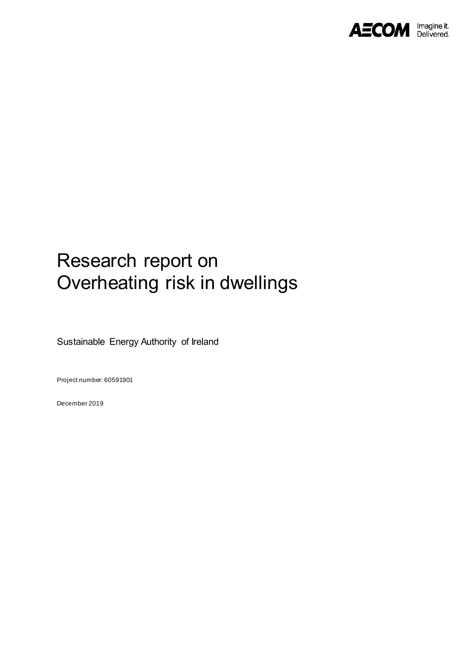

# Research report on Overheating risk in dwellings

Sustainable Energy Authority of Ireland

Project number: 60591901

December 2019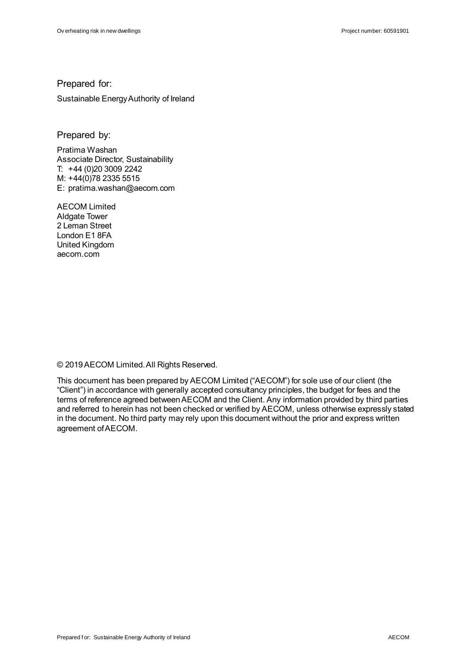#### Prepared for:

Sustainable Energy Authority of Ireland

Prepared by:

Pratima Washan Associate Director, Sustainability T: +44 (0)20 3009 2242 M: +44(0)78 2335 5515 E: pratima.washan@aecom.com

AECOM Limited Aldgate Tower 2 Leman Street London E1 8FA United Kingdom aecom.com

© 2019 AECOM Limited. All Rights Reserved.

This document has been prepared by AECOM Limited ("AECOM") for sole use of our client (the "Client") in accordance with generally accepted consultancy principles, the budget for fees and the terms of reference agreed between AECOM and the Client. Any information provided by third parties and referred to herein has not been checked or verified by AECOM, unless otherwise expressly stated in the document. No third party may rely upon this document without the prior and express written agreement of AECOM.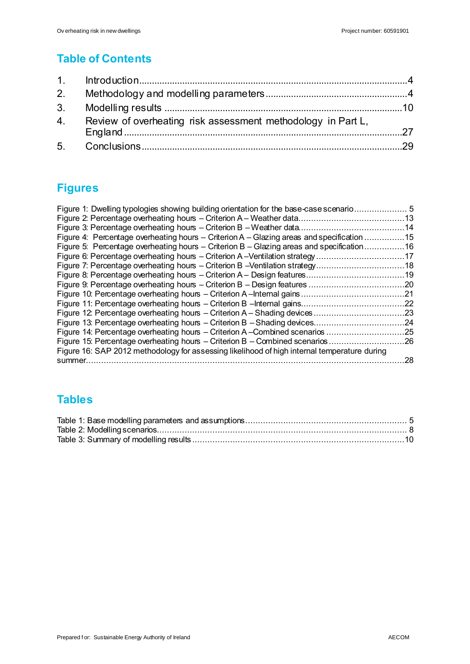### **Table of Contents**

| 4. Review of overheating risk assessment methodology in Part L, |  |
|-----------------------------------------------------------------|--|
|                                                                 |  |

### **Figures**

| Figure 1: Dwelling typologies showing building orientation for the base-case scenario 5      |     |
|----------------------------------------------------------------------------------------------|-----|
|                                                                                              |     |
|                                                                                              |     |
| Figure 4: Percentage overheating hours – Criterion A – Glazing areas and specification 15    |     |
| Figure 5: Percentage overheating hours – Criterion B – Glazing areas and specification 16    |     |
| Figure 6: Percentage overheating hours - Criterion A-Ventilation strategy17                  |     |
| Figure 7: Percentage overheating hours – Criterion B – Ventilation strategy18                |     |
|                                                                                              |     |
|                                                                                              |     |
|                                                                                              |     |
|                                                                                              |     |
| Figure 12: Percentage overheating hours - Criterion A - Shading devices                      | .23 |
| Figure 13: Percentage overheating hours – Criterion B – Shading devices                      | .24 |
| Figure 14: Percentage overheating hours – Criterion A–Combined scenarios                     | 25  |
| Figure 15: Percentage overheating hours – Criterion B – Combined scenarios 26                |     |
| Figure 16: SAP 2012 methodology for assessing likelihood of high internal temperature during |     |
| summer.                                                                                      | 28  |

### **Tables**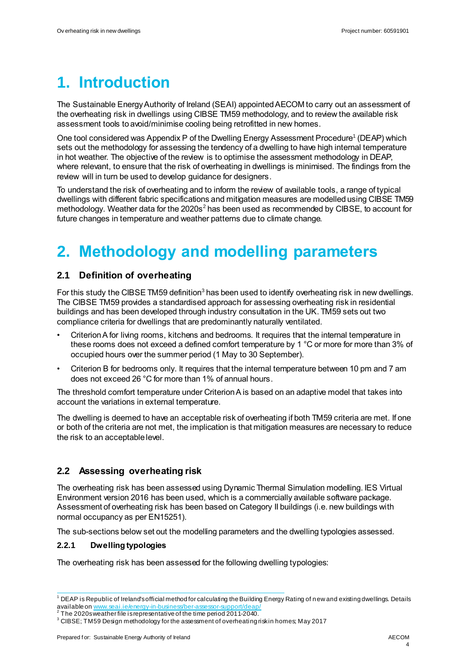## **1. Introduction**

The Sustainable Energy Authority of Ireland (SEAI) appointed AECOM to carry out an assessment of the overheating risk in dwellings using CIBSE TM59 methodology, and to review the available risk assessment tools to avoid/minimise cooling being retrofitted in new homes.

One tool considered was Appendix P of the Dwelling Energy Assessment Procedure<sup>1</sup> (DEAP) which sets out the methodology for assessing the tendency of a dwelling to have high internal temperature in hot weather. The objective of the review is to optimise the assessment methodology in DEAP, where relevant, to ensure that the risk of overheating in dwellings is minimised. The findings from the review will in turn be used to develop guidance for designers.

To understand the risk of overheating and to inform the review of available tools, a range of typical dwellings with different fabric specifications and mitigation measures are modelled using CIBSE TM59 methodology. Weather data for the  $2020s<sup>2</sup>$  has been used as recommended by CIBSE, to account for future changes in temperature and weather patterns due to climate change.

## **2. Methodology and modelling parameters**

#### **2.1 Definition of overheating**

For this study the CIBSE TM59 definition<sup>3</sup> has been used to identify overheating risk in new dwellings. The CIBSE TM59 provides a standardised approach for assessing overheating risk in residential buildings and has been developed through industry consultation in the UK. TM59 sets out two compliance criteria for dwellings that are predominantly naturally ventilated.

- Criterion A for living rooms, kitchens and bedrooms. It requires that the internal temperature in these rooms does not exceed a defined comfort temperature by 1 °C or more for more than 3% of occupied hours over the summer period (1 May to 30 September).
- Criterion B for bedrooms only. It requires that the internal temperature between 10 pm and 7 am does not exceed 26 °C for more than 1% of annual hours.

The threshold comfort temperature under Criterion A is based on an adaptive model that takes into account the variations in external temperature.

The dwelling is deemed to have an acceptable risk of overheating if both TM59 criteria are met. If one or both of the criteria are not met, the implication is that mitigation measures are necessary to reduce the risk to an acceptable level.

#### **2.2 Assessing overheating risk**

The overheating risk has been assessed using Dynamic Thermal Simulation modelling. IES Virtual Environment version 2016 has been used, which is a commercially available software package. Assessment of overheating risk has been based on Category II buildings (i.e. new buildings with normal occupancy as per EN15251).

The sub-sections below set out the modelling parameters and the dwelling typologies assessed.

#### **2.2.1 Dwelling typologies**

The overheating risk has been assessed for the following dwelling typologies:

 $\frac{1}{2}$  $1$  DEAP is Republic of Ireland's official method for calculating the Building Energy Rating of new and existing dwellings. Details available on <u>www.seai.ie/energy-in-business/ber-assessor-support/deap/</u><br><sup>2</sup> The 2020 www.therfile.ierenrecentative of the time period 2011 2010

The 2020s weather file is representative of the time period 2011-2040.

 $3$  CIBSE; TM59 Design methodology for the assessment of overheating risk in homes; May 2017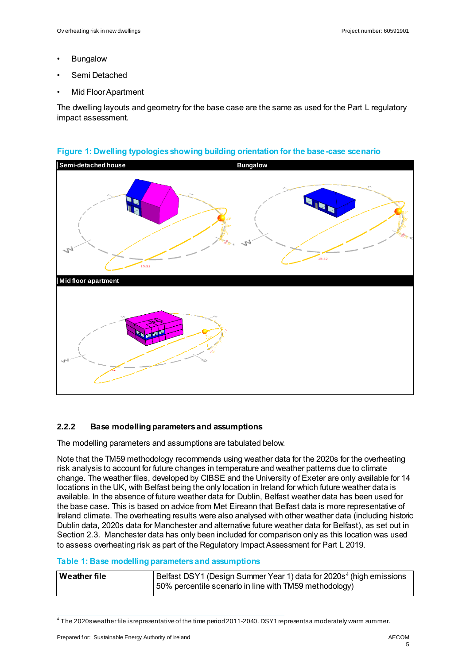- **Bungalow**
- Semi Detached
- Mid Floor Apartment

The dwelling layouts and geometry for the base case are the same as used for the Part L regulatory impact assessment.



#### **Figure 1: Dwelling typologies showing building orientation for the base-case scenario**

#### **2.2.2 Base modelling parameters and assumptions**

The modelling parameters and assumptions are tabulated below.

Note that the TM59 methodology recommends using weather data for the 2020s for the overheating risk analysis to account for future changes in temperature and weather patterns due to climate change. The weather files, developed by CIBSE and the University of Exeter are only available for 14 locations in the UK, with Belfast being the only location in Ireland for which future weather data is available. In the absence of future weather data for Dublin, Belfast weather data has been used for the base case. This is based on advice from Met Eireann that Belfast data is more representative of Ireland climate. The overheating results were also analysed with other weather data (including historic Dublin data, 2020s data for Manchester and alternative future weather data for Belfast), as set out in Sectio[n 2.3](#page-6-0). Manchester data has only been included for comparison only as this location was used to assess overheating risk as part of the Regulatory Impact Assessment for Part L 2019.

#### **Table 1: Base modelling parameters and assumptions**

| Weather file | Belfast DSY1 (Design Summer Year 1) data for 2020s <sup>4</sup> (high emissions |
|--------------|---------------------------------------------------------------------------------|
|              | 50% percentile scenario in line with TM59 methodology)                          |

 4 The 2020s weather file is representative of the time period 2011-2040. DSY1 represents a moderately warm summer.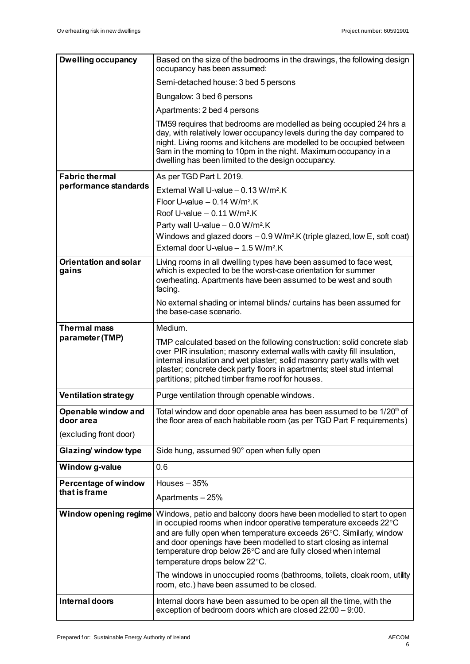| <b>Dwelling occupancy</b>             | Based on the size of the bedrooms in the drawings, the following design<br>occupancy has been assumed:                                                                                                                                                                                                                                                        |  |  |
|---------------------------------------|---------------------------------------------------------------------------------------------------------------------------------------------------------------------------------------------------------------------------------------------------------------------------------------------------------------------------------------------------------------|--|--|
|                                       | Semi-detached house: 3 bed 5 persons                                                                                                                                                                                                                                                                                                                          |  |  |
|                                       | Bungalow: 3 bed 6 persons                                                                                                                                                                                                                                                                                                                                     |  |  |
|                                       | Apartments: 2 bed 4 persons                                                                                                                                                                                                                                                                                                                                   |  |  |
|                                       | TM59 requires that bedrooms are modelled as being occupied 24 hrs a<br>day, with relatively lower occupancy levels during the day compared to<br>night. Living rooms and kitchens are modelled to be occupied between<br>9am in the morning to 10pm in the night. Maximum occupancy in a<br>dwelling has been limited to the design occupancy.                |  |  |
| <b>Fabric thermal</b>                 | As per TGD Part L 2019.                                                                                                                                                                                                                                                                                                                                       |  |  |
| performance standards                 | External Wall U-value $-0.13$ W/m <sup>2</sup> .K                                                                                                                                                                                                                                                                                                             |  |  |
|                                       | Floor U-value $-$ 0.14 W/m <sup>2</sup> .K                                                                                                                                                                                                                                                                                                                    |  |  |
|                                       | Roof U-value $-0.11$ W/m <sup>2</sup> .K                                                                                                                                                                                                                                                                                                                      |  |  |
|                                       | Party wall U-value - 0.0 W/m <sup>2</sup> .K                                                                                                                                                                                                                                                                                                                  |  |  |
|                                       | Windows and glazed doors $-0.9$ W/m <sup>2</sup> .K (triple glazed, low E, soft coat)                                                                                                                                                                                                                                                                         |  |  |
|                                       | External door U-value - 1.5 W/m <sup>2</sup> .K                                                                                                                                                                                                                                                                                                               |  |  |
| <b>Orientation and solar</b><br>gains | Living rooms in all dwelling types have been assumed to face west,<br>which is expected to be the worst-case orientation for summer<br>overheating. Apartments have been assumed to be west and south<br>facing.                                                                                                                                              |  |  |
|                                       | No external shading or internal blinds/ curtains has been assumed for<br>the base-case scenario.                                                                                                                                                                                                                                                              |  |  |
| <b>Thermal mass</b>                   | Medium.                                                                                                                                                                                                                                                                                                                                                       |  |  |
| parameter (TMP)                       | TMP calculated based on the following construction: solid concrete slab<br>over PIR insulation; masonry external walls with cavity fill insulation,<br>internal insulation and wet plaster; solid masonry party walls with wet<br>plaster; concrete deck party floors in apartments; steel stud internal<br>partitions; pitched timber frame roof for houses. |  |  |
| Ventilation strategy                  | Purge ventilation through openable windows.                                                                                                                                                                                                                                                                                                                   |  |  |
| Openable window and<br>door area      | Total window and door openable area has been assumed to be 1/20 <sup>th</sup> of<br>the floor area of each habitable room (as per TGD Part F requirements)                                                                                                                                                                                                    |  |  |
| (excluding front door)                |                                                                                                                                                                                                                                                                                                                                                               |  |  |
| Glazing/ window type                  | Side hung, assumed 90° open when fully open                                                                                                                                                                                                                                                                                                                   |  |  |
| Window g-value                        | 0.6                                                                                                                                                                                                                                                                                                                                                           |  |  |
| Percentage of window                  | Houses $-35%$                                                                                                                                                                                                                                                                                                                                                 |  |  |
| that is frame                         | Apartments - 25%                                                                                                                                                                                                                                                                                                                                              |  |  |
| Window opening regime                 | Windows, patio and balcony doors have been modelled to start to open<br>in occupied rooms when indoor operative temperature exceeds 22°C                                                                                                                                                                                                                      |  |  |
|                                       | and are fully open when temperature exceeds 26°C. Similarly, window<br>and door openings have been modelled to start closing as internal<br>temperature drop below 26°C and are fully closed when internal<br>temperature drops below 22°C.                                                                                                                   |  |  |
|                                       | The windows in unoccupied rooms (bathrooms, toilets, cloak room, utility<br>room, etc.) have been assumed to be closed.                                                                                                                                                                                                                                       |  |  |
| Internal doors                        | Internal doors have been assumed to be open all the time, with the<br>exception of bedroom doors which are closed 22:00 - 9:00.                                                                                                                                                                                                                               |  |  |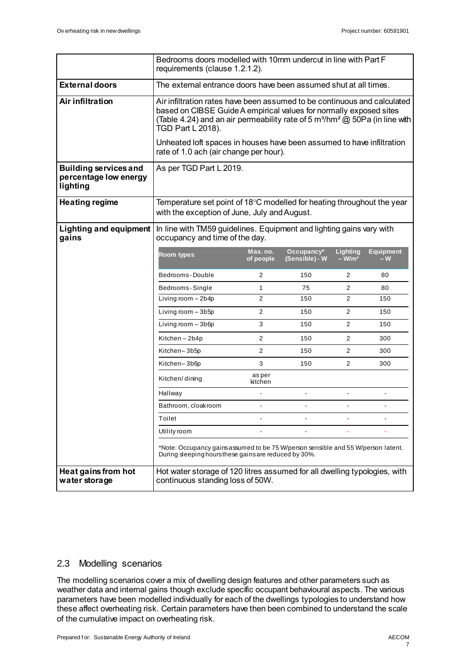|                                                                   | Bedrooms doors modelled with 10mm undercut in line with Part F<br>requirements (clause 1.2.1.2).                                                                                                                                                                           |                       |                              |                     |                         |
|-------------------------------------------------------------------|----------------------------------------------------------------------------------------------------------------------------------------------------------------------------------------------------------------------------------------------------------------------------|-----------------------|------------------------------|---------------------|-------------------------|
| <b>External doors</b>                                             | The external entrance doors have been assumed shut at all times.                                                                                                                                                                                                           |                       |                              |                     |                         |
| <b>Air infiltration</b>                                           | Air infiltration rates have been assumed to be continuous and calculated<br>based on CIBSE Guide A empirical values for normally exposed sites<br>(Table 4.24) and an air permeability rate of 5 m <sup>3</sup> /hm <sup>2</sup> @ 50Pa (in line with<br>TGD Part L 2018). |                       |                              |                     |                         |
|                                                                   | Unheated loft spaces in houses have been assumed to have infiltration<br>rate of 1.0 ach (air change per hour).                                                                                                                                                            |                       |                              |                     |                         |
| <b>Building services and</b><br>percentage low energy<br>lighting | As per TGD Part L 2019.                                                                                                                                                                                                                                                    |                       |                              |                     |                         |
| <b>Heating regime</b>                                             | Temperature set point of 18 $\degree$ C modelled for heating throughout the year<br>with the exception of June, July and August.                                                                                                                                           |                       |                              |                     |                         |
| <b>Lighting and equipment</b><br>gains                            | In line with TM59 guidelines. Equipment and lighting gains vary with<br>occupancy and time of the day.                                                                                                                                                                     |                       |                              |                     |                         |
|                                                                   | <b>Room types</b>                                                                                                                                                                                                                                                          | Max. no.<br>of people | Occupancy*<br>(Sensible) - W | Lighting<br>$-W/m2$ | <b>Equipment</b><br>– W |
|                                                                   | Bedrooms-Double                                                                                                                                                                                                                                                            | 2                     | 150                          | 2                   | 80                      |
|                                                                   | Bedrooms-Single                                                                                                                                                                                                                                                            | 1                     | 75                           | $\overline{2}$      | 80                      |
|                                                                   | Living room - 2b4p                                                                                                                                                                                                                                                         | 2                     | 150                          | $\overline{2}$      | 150                     |
|                                                                   | Living room - 3b5p                                                                                                                                                                                                                                                         | 2                     | 150                          | $\overline{2}$      | 150                     |
|                                                                   | Living room - 3b6p                                                                                                                                                                                                                                                         | 3                     | 150                          | $\overline{2}$      | 150                     |
|                                                                   | Kitchen-2b4p                                                                                                                                                                                                                                                               | 2                     | 150                          | $\overline{2}$      | 300                     |
|                                                                   | Kitchen–3b5p                                                                                                                                                                                                                                                               | 2                     | 150                          | 2                   | 300                     |
|                                                                   | Kitchen-3b6p                                                                                                                                                                                                                                                               | 3                     | 150                          | $\overline{2}$      | 300                     |
|                                                                   | Kitchen/dining                                                                                                                                                                                                                                                             | asper<br>kitchen      |                              |                     |                         |
|                                                                   | Hallway                                                                                                                                                                                                                                                                    |                       |                              |                     |                         |
|                                                                   | Bathroom, cloakroom                                                                                                                                                                                                                                                        |                       |                              |                     |                         |
|                                                                   | Toilet                                                                                                                                                                                                                                                                     | $\sim$                |                              | $\blacksquare$      | ٠                       |
|                                                                   | Utility room                                                                                                                                                                                                                                                               |                       |                              |                     |                         |
|                                                                   | *Note: Occupancy gains assumed to be 75 W/person sensible and 55 W/person latent.<br>During sleeping hours these gains are reduced by 30%.                                                                                                                                 |                       |                              |                     |                         |
| Heat gains from hot<br>water storage                              | Hot water storage of 120 litres assumed for all dwelling typologies, with<br>continuous standing loss of 50W.                                                                                                                                                              |                       |                              |                     |                         |

#### <span id="page-6-0"></span>2.3 Modelling scenarios

The modelling scenarios cover a mix of dwelling design features and other parameters such as weather data and internal gains though exclude specific occupant behavioural aspects. The various parameters have been modelled individually for each of the dwellings typologies to understand how these affect overheating risk. Certain parameters have then been combined to understand the scale of the cumulative impact on overheating risk.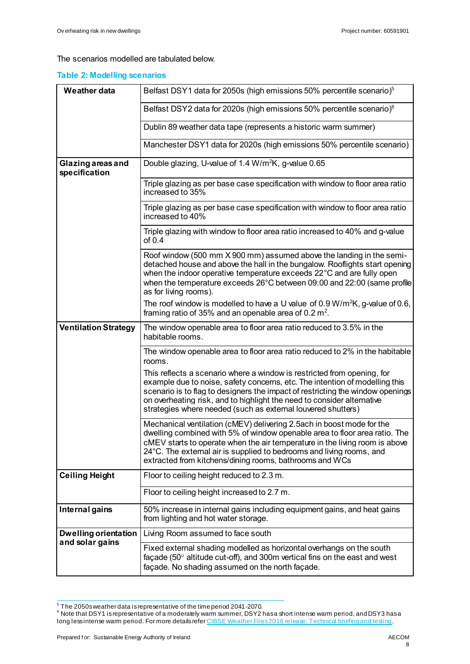The scenarios modelled are tabulated below.

#### **Table 2: Modelling scenarios**

| <b>Weather data</b>                                                     | Belfast DSY1 data for 2050s (high emissions 50% percentile scenario) <sup>5</sup>                                                                                                                                                                                                                                                                                                  |  |  |
|-------------------------------------------------------------------------|------------------------------------------------------------------------------------------------------------------------------------------------------------------------------------------------------------------------------------------------------------------------------------------------------------------------------------------------------------------------------------|--|--|
|                                                                         | Belfast DSY2 data for 2020s (high emissions 50% percentile scenario) <sup>6</sup>                                                                                                                                                                                                                                                                                                  |  |  |
|                                                                         | Dublin 89 weather data tape (represents a historic warm summer)                                                                                                                                                                                                                                                                                                                    |  |  |
| Manchester DSY1 data for 2020s (high emissions 50% percentile scenario) |                                                                                                                                                                                                                                                                                                                                                                                    |  |  |
| Glazing areas and<br>specification                                      | Double glazing, U-value of 1.4 W/m <sup>2</sup> K, g-value 0.65                                                                                                                                                                                                                                                                                                                    |  |  |
|                                                                         | Triple glazing as per base case specification with window to floor area ratio<br>increased to 35%                                                                                                                                                                                                                                                                                  |  |  |
|                                                                         | Triple glazing as per base case specification with window to floor area ratio<br>increased to 40%                                                                                                                                                                                                                                                                                  |  |  |
|                                                                         | Triple glazing with window to floor area ratio increased to 40% and g-value<br>of $0.4$                                                                                                                                                                                                                                                                                            |  |  |
|                                                                         | Roof window (500 mm X 900 mm) assumed above the landing in the semi-<br>detached house and above the hall in the bungalow. Rooflights start opening<br>when the indoor operative temperature exceeds $22^{\circ}$ C and are fully open<br>when the temperature exceeds 26°C between 09:00 and 22:00 (same profile<br>as for living rooms).                                         |  |  |
|                                                                         | The roof window is modelled to have a U value of 0.9 W/m <sup>2</sup> K, g-value of 0.6,<br>framing ratio of 35% and an openable area of 0.2 $m2$ .                                                                                                                                                                                                                                |  |  |
| <b>Ventilation Strategy</b>                                             | The window openable area to floor area ratio reduced to 3.5% in the<br>habitable rooms.                                                                                                                                                                                                                                                                                            |  |  |
|                                                                         | The window openable area to floor area ratio reduced to 2% in the habitable<br>rooms.                                                                                                                                                                                                                                                                                              |  |  |
|                                                                         | This reflects a scenario where a window is restricted from opening, for<br>example due to noise, safety concerns, etc. The intention of modelling this<br>scenario is to flag to designers the impact of restricting the window openings<br>on overheating risk, and to highlight the need to consider alternative<br>strategies where needed (such as external louvered shutters) |  |  |
|                                                                         | Mechanical ventilation (cMEV) delivering 2.5 ach in boost mode for the<br>dwelling combined with 5% of window openable area to floor area ratio. The<br>cMEV starts to operate when the air temperature in the living room is above<br>24°C. The external air is supplied to bedrooms and living rooms, and<br>extracted from kitchens/dining rooms, bathrooms and WCs             |  |  |
| <b>Ceiling Height</b>                                                   | Floor to ceiling height reduced to 2.3 m.                                                                                                                                                                                                                                                                                                                                          |  |  |
|                                                                         | Floor to ceiling height increased to 2.7 m.                                                                                                                                                                                                                                                                                                                                        |  |  |
| Internal gains                                                          | 50% increase in internal gains including equipment gains, and heat gains<br>from lighting and hot water storage.                                                                                                                                                                                                                                                                   |  |  |
| <b>Dwelling orientation</b><br>and solar gains                          | Living Room assumed to face south                                                                                                                                                                                                                                                                                                                                                  |  |  |
|                                                                         | Fixed external shading modelled as horizontal overhangs on the south<br>façade (50 $\degree$ altitude cut-off), and 300m vertical fins on the east and west<br>façade. No shading assumed on the north façade.                                                                                                                                                                     |  |  |

<sup>&</sup>lt;sub>5</sub><br>5 The 2050sweather data is representative of the time period 2041-2070.<br><sup>6</sup> Note that DSY1 is representative of a moderately warm summer, DSY2 has a short intense warm period, and DSY3 has a long less intense warm period. For more details refe[r CIBSE Weather Files 2016 release: Technical briefing and testing](http://www.cibse.org/getmedia/ce7a77e8-3f98-4b97-9dbc-7baf0062f6c6/WeatherData_TechnicalBriefingandTesting_Final.pdf.aspx).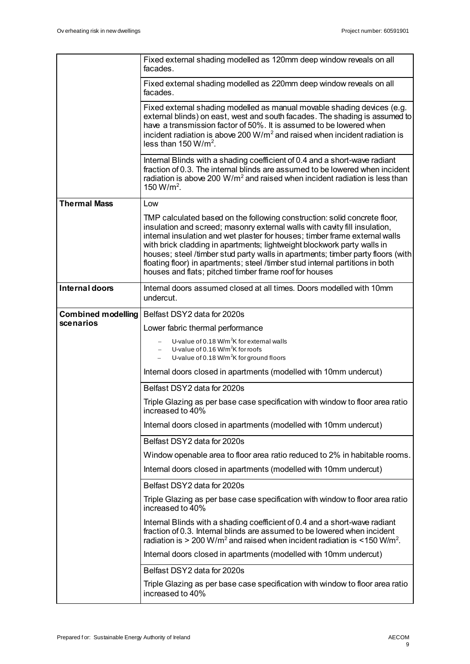|                           | Fixed external shading modelled as 120mm deep window reveals on all<br>facades.                                                                                                                                                                                                                                                                                                                                                                                                                                                                 |
|---------------------------|-------------------------------------------------------------------------------------------------------------------------------------------------------------------------------------------------------------------------------------------------------------------------------------------------------------------------------------------------------------------------------------------------------------------------------------------------------------------------------------------------------------------------------------------------|
|                           | Fixed external shading modelled as 220mm deep window reveals on all<br>facades.                                                                                                                                                                                                                                                                                                                                                                                                                                                                 |
|                           | Fixed external shading modelled as manual movable shading devices (e.g.<br>external blinds) on east, west and south facades. The shading is assumed to<br>have a transmission factor of 50%. It is assumed to be lowered when<br>incident radiation is above 200 W/m <sup>2</sup> and raised when incident radiation is<br>less than $150 W/m2$ .                                                                                                                                                                                               |
|                           | Internal Blinds with a shading coefficient of 0.4 and a short-wave radiant<br>fraction of 0.3. The internal blinds are assumed to be lowered when incident<br>radiation is above 200 $W/m^2$ and raised when incident radiation is less than<br>150 W/m <sup>2</sup> .                                                                                                                                                                                                                                                                          |
| <b>Thermal Mass</b>       | Low                                                                                                                                                                                                                                                                                                                                                                                                                                                                                                                                             |
|                           | TMP calculated based on the following construction: solid concrete floor,<br>insulation and screed; masonry external walls with cavity fill insulation,<br>internal insulation and wet plaster for houses; timber frame external walls<br>with brick cladding in apartments; lightweight blockwork party walls in<br>houses; steel /timber stud party walls in apartments; timber party floors (with<br>floating floor) in apartments; steel /timber stud internal partitions in both<br>houses and flats; pitched timber frame roof for houses |
| Internal doors            | Internal doors assumed closed at all times. Doors modelled with 10mm<br>undercut.                                                                                                                                                                                                                                                                                                                                                                                                                                                               |
| <b>Combined modelling</b> | Belfast DSY2 data for 2020s                                                                                                                                                                                                                                                                                                                                                                                                                                                                                                                     |
| scenarios                 | Lower fabric thermal performance                                                                                                                                                                                                                                                                                                                                                                                                                                                                                                                |
|                           | U-value of 0.18 W/m <sup>2</sup> K for external walls<br>U-value of 0.16 W/m <sup>2</sup> K for roofs<br>U-value of 0.18 W/m <sup>2</sup> K for ground floors                                                                                                                                                                                                                                                                                                                                                                                   |
|                           | Internal doors closed in apartments (modelled with 10mm undercut)                                                                                                                                                                                                                                                                                                                                                                                                                                                                               |
|                           | Belfast DSY2 data for 2020s                                                                                                                                                                                                                                                                                                                                                                                                                                                                                                                     |
|                           | Triple Glazing as per base case specification with window to floor area ratio<br>increased to 40%                                                                                                                                                                                                                                                                                                                                                                                                                                               |
|                           | Internal doors closed in apartments (modelled with 10mm undercut)                                                                                                                                                                                                                                                                                                                                                                                                                                                                               |
|                           | Belfast DSY2 data for 2020s                                                                                                                                                                                                                                                                                                                                                                                                                                                                                                                     |
|                           | Window openable area to floor area ratio reduced to 2% in habitable rooms.                                                                                                                                                                                                                                                                                                                                                                                                                                                                      |
|                           | Internal doors closed in apartments (modelled with 10mm undercut)                                                                                                                                                                                                                                                                                                                                                                                                                                                                               |
|                           | Belfast DSY2 data for 2020s                                                                                                                                                                                                                                                                                                                                                                                                                                                                                                                     |
|                           | Triple Glazing as per base case specification with window to floor area ratio<br>increased to 40%                                                                                                                                                                                                                                                                                                                                                                                                                                               |
|                           | Internal Blinds with a shading coefficient of 0.4 and a short-wave radiant<br>fraction of 0.3. Internal blinds are assumed to be lowered when incident<br>radiation is $> 200$ W/m <sup>2</sup> and raised when incident radiation is $<$ 150 W/m <sup>2</sup> .                                                                                                                                                                                                                                                                                |
|                           | Internal doors closed in apartments (modelled with 10mm undercut)                                                                                                                                                                                                                                                                                                                                                                                                                                                                               |
|                           | Belfast DSY2 data for 2020s                                                                                                                                                                                                                                                                                                                                                                                                                                                                                                                     |
|                           | Triple Glazing as per base case specification with window to floor area ratio<br>increased to 40%                                                                                                                                                                                                                                                                                                                                                                                                                                               |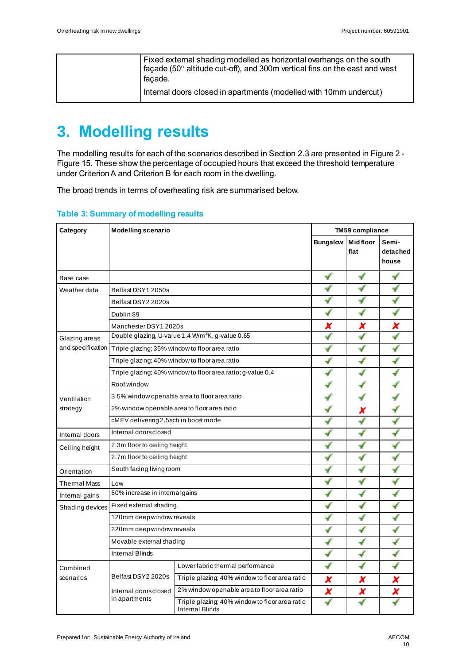|  | Fixed external shading modelled as horizontal overhangs on the south<br>$\vert$ façade (50 $^{\circ}$ altitude cut-off), and 300m vertical fins on the east and west<br>l facade. |
|--|-----------------------------------------------------------------------------------------------------------------------------------------------------------------------------------|
|  | Internal doors closed in apartments (modelled with 10mm undercut)                                                                                                                 |

## **3. Modelling results**

The modelling results for each of the scenarios described in Sectio[n 2.3](#page-6-0) are presented i[n Figure 2](#page-12-0) - [Figure 15.](#page-25-0) These show the percentage of occupied hours that exceed the threshold temperature under Criterion A and Criterion B for each room in the dwelling.

The broad trends in terms of overheating risk are summarised below.

| Category        | <b>Modelling scenario</b>                                          |                                                                   | <b>TM59 compliance</b> |                 |          |
|-----------------|--------------------------------------------------------------------|-------------------------------------------------------------------|------------------------|-----------------|----------|
|                 |                                                                    |                                                                   | <b>Bungalow</b>        | <b>Midfloor</b> | Semi-    |
|                 |                                                                    |                                                                   |                        | flat            | detached |
|                 |                                                                    |                                                                   |                        |                 | house    |
| Base case       |                                                                    |                                                                   | √                      | ✔               | √        |
| Weather data    | Belfast DSY1 2050s                                                 |                                                                   | ✔                      |                 | ✔        |
|                 | Belfast DSY2 2020s                                                 |                                                                   |                        |                 |          |
|                 | Dublin 89                                                          |                                                                   |                        |                 |          |
|                 | Manchester DSY1 2020s                                              |                                                                   | X                      | x               | X        |
| Glazing areas   |                                                                    | Double glazing, U-value 1.4 W/m <sup>2</sup> K, g-value 0.65      |                        |                 |          |
|                 | and specification   Triple glazing; 35% window to floor area ratio |                                                                   |                        |                 |          |
|                 |                                                                    | Triple glazing; 40% window to floor area ratio                    | √                      | ✔               |          |
|                 |                                                                    | Triple glazing; 40% window to floor area ratio; g-value 0.4       | √                      | ✔               | ✔        |
|                 | Roof window                                                        |                                                                   |                        |                 |          |
| Ventilation     | 3.5% window openable area to floor area ratio                      |                                                                   |                        |                 |          |
| strategy        | 2% window openable areato floor area ratio                         |                                                                   |                        | X               |          |
|                 | cMEV delivering 2.5ach in boost mode                               |                                                                   |                        |                 |          |
| Internal doors  | Internal doors closed                                              |                                                                   |                        |                 |          |
| Ceiling height  | 2.3m floor to ceiling height                                       |                                                                   |                        |                 |          |
|                 | 2.7m floor to ceiling height                                       |                                                                   |                        |                 |          |
| Orientation     | South facing living room                                           |                                                                   |                        |                 |          |
| Thermal Mass    | Low                                                                |                                                                   | ✔                      | ✔               |          |
| Internal gains  | 50% increase in internal gains                                     |                                                                   | ✔                      | ✔               | ✔        |
| Shading devices | Fixed external shading.                                            |                                                                   |                        | ✔               |          |
|                 | 120mm deep window reveals                                          |                                                                   |                        | ✔               |          |
|                 | 220mm deep window reveals                                          |                                                                   | ✔                      |                 |          |
|                 | Movable external shading                                           |                                                                   |                        |                 |          |
|                 | <b>Internal Blinds</b>                                             |                                                                   |                        |                 |          |
| Combined        |                                                                    | Lower fabric thermal performance                                  | ✔                      |                 |          |
| scenarios       | Belfast DSY2 2020s<br>Internal doorsclosed<br>in apartments        | Triple glazing; 40% window to floor area ratio                    | X                      | X               | X        |
|                 |                                                                    | 2% window openable areato floor area ratio                        | X                      | X               | X        |
|                 |                                                                    | Triple glazing; 40% window to floor area ratio<br>Internal Blinds |                        |                 |          |

#### **Table 3: Summary of modelling results**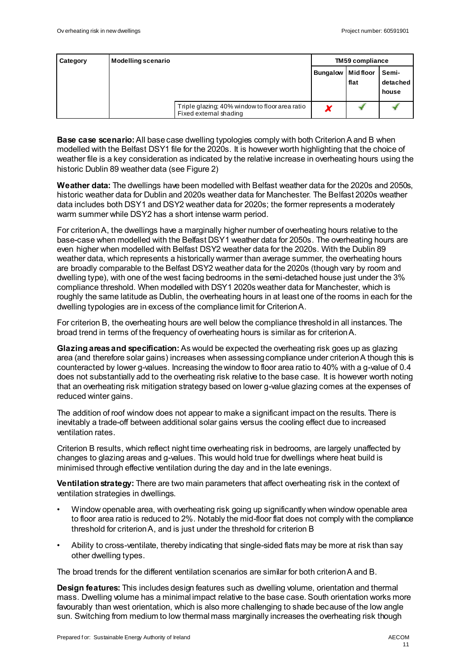| Category | Modelling scenario                                                       |                          | <b>TM59 compliance</b> |                            |  |  |
|----------|--------------------------------------------------------------------------|--------------------------|------------------------|----------------------------|--|--|
|          |                                                                          | <b>Bungalow</b> Midfloor | flat                   | Semi-<br>detached<br>house |  |  |
|          | Triple glazing; 40% window to floor area ratio<br>Fixed external shading |                          |                        |                            |  |  |

**Base case scenario:**All base case dwelling typologies comply with both Criterion A and B when modelled with the Belfast DSY1 file for the 2020s. It is however worth highlighting that the choice of weather file is a key consideration as indicated by the relative increase in overheating hours using the historic Dublin 89 weather data (se[e Figure 2](#page-12-0))

**Weather data:** The dwellings have been modelled with Belfast weather data for the 2020s and 2050s, historic weather data for Dublin and 2020s weather data for Manchester. The Belfast 2020s weather data includes both DSY1 and DSY2 weather data for 2020s; the former represents a moderately warm summer while DSY2 has a short intense warm period.

For criterion A, the dwellings have a marginally higher number of overheating hours relative to the base-case when modelled with the Belfast DSY1 weather data for 2050s. The overheating hours are even higher when modelled with Belfast DSY2 weather data for the 2020s. With the Dublin 89 weather data, which represents a historically warmer than average summer, the overheating hours are broadly comparable to the Belfast DSY2 weather data for the 2020s (though vary by room and dwelling type), with one of the west facing bedrooms in the semi-detached house just under the 3% compliance threshold. When modelled with DSY1 2020s weather data for Manchester, which is roughly the same latitude as Dublin, the overheating hours in at least one of the rooms in each for the dwelling typologies are in excess of the compliance limit for Criterion A.

For criterion B, the overheating hours are well below the compliance threshold in all instances. The broad trend in terms of the frequency of overheating hours is similar as for criterion A.

**Glazing areas and specification:**As would be expected the overheating risk goes up as glazing area (and therefore solar gains) increases when assessing compliance under criterion A though this is counteracted by lower g-values. Increasing the window to floor area ratio to 40% with a g-value of 0.4 does not substantially add to the overheating risk relative to the base case. It is however worth noting that an overheating risk mitigation strategy based on lower g-value glazing comes at the expenses of reduced winter gains.

The addition of roof window does not appear to make a significant impact on the results. There is inevitably a trade-off between additional solar gains versus the cooling effect due to increased ventilation rates.

Criterion B results, which reflect night time overheating risk in bedrooms, are largely unaffected by changes to glazing areas and g-values. This would hold true for dwellings where heat build is minimised through effective ventilation during the day and in the late evenings.

**Ventilation strategy:** There are two main parameters that affect overheating risk in the context of ventilation strategies in dwellings.

- Window openable area, with overheating risk going up significantly when window openable area to floor area ratio is reduced to 2%. Notably the mid-floor flat does not comply with the compliance threshold for criterion A, and is just under the threshold for criterion B
- Ability to cross-ventilate, thereby indicating that single-sided flats may be more at risk than say other dwelling types.

The broad trends for the different ventilation scenarios are similar for both criterion A and B.

**Design features:** This includes design features such as dwelling volume, orientation and thermal mass. Dwelling volume has a minimal impact relative to the base case. South orientation works more favourably than west orientation, which is also more challenging to shade because of the low angle sun. Switching from medium to low thermal mass marginally increases the overheating risk though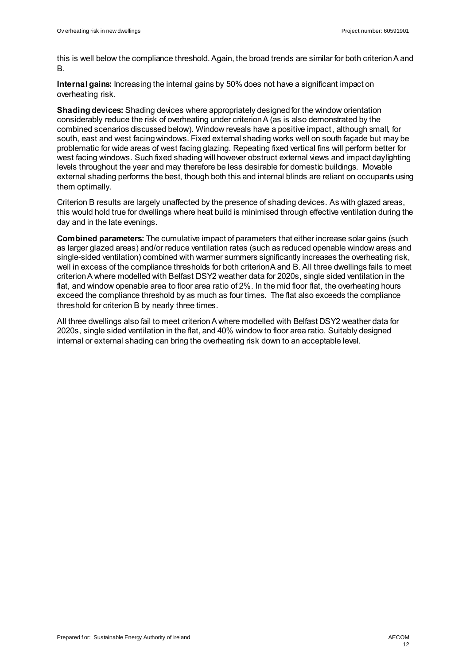this is well below the compliance threshold. Again, the broad trends are similar for both criterion A and B.

**Internal gains:** Increasing the internal gains by 50% does not have a significant impact on overheating risk.

**Shading devices:** Shading devices where appropriately designed for the window orientation considerably reduce the risk of overheating under criterion A (as is also demonstrated by the combined scenarios discussed below). Window reveals have a positive impact, although small, for south, east and west facing windows. Fixed external shading works well on south façade but may be problematic for wide areas of west facing glazing. Repeating fixed vertical fins will perform better for west facing windows. Such fixed shading will however obstruct external views and impact daylighting levels throughout the year and may therefore be less desirable for domestic buildings. Movable external shading performs the best, though both this and internal blinds are reliant on occupants using them optimally.

Criterion B results are largely unaffected by the presence of shading devices. As with glazed areas, this would hold true for dwellings where heat build is minimised through effective ventilation during the day and in the late evenings.

**Combined parameters:** The cumulative impact of parameters that either increase solar gains (such as larger glazed areas) and/or reduce ventilation rates (such as reduced openable window areas and single-sided ventilation) combined with warmer summers significantly increases the overheating risk, well in excess of the compliance thresholds for both criterion A and B. All three dwellings fails to meet criterion A where modelled with Belfast DSY2 weather data for 2020s, single sided ventilation in the flat, and window openable area to floor area ratio of 2%. In the mid floor flat, the overheating hours exceed the compliance threshold by as much as four times. The flat also exceeds the compliance threshold for criterion B by nearly three times.

All three dwellings also fail to meet criterion A where modelled with Belfast DSY2 weather data for 2020s, single sided ventilation in the flat, and 40% window to floor area ratio. Suitably designed internal or external shading can bring the overheating risk down to an acceptable level.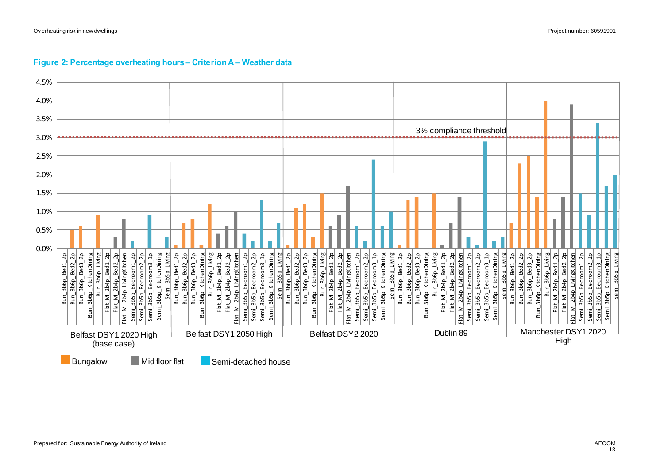<span id="page-12-0"></span>

#### **Figure 2: Percentage overheating hours – Criterion A – Weather data**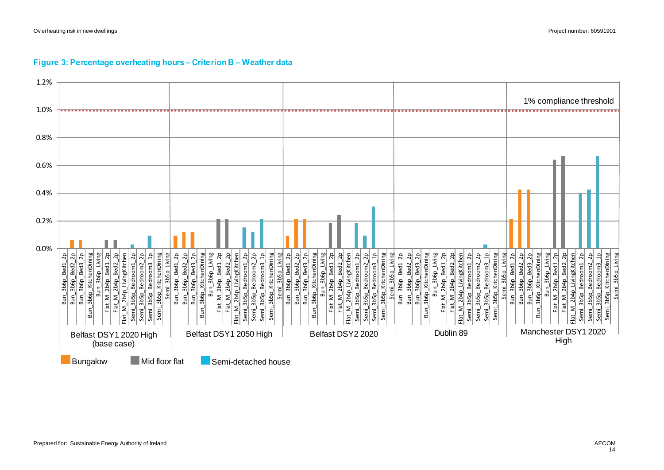#### Ov erheating risk in new dwellings Project number: 60591901



#### **Figure 3: Percentage overheating hours – Criterion B – Weather data**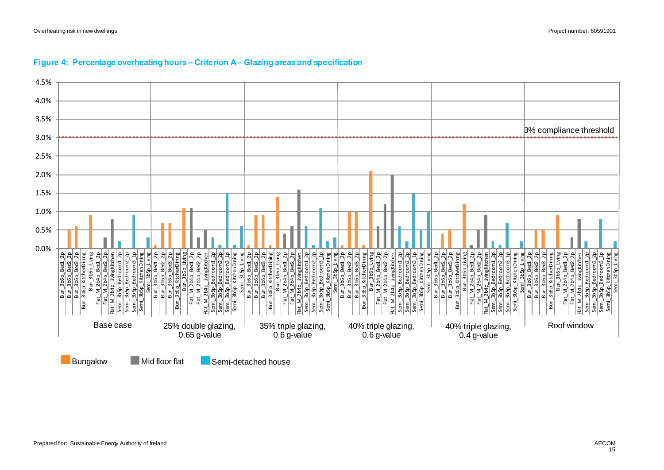

#### **Figure 4: Percentage overheating hours – Criterion A – Glazing areas and specification**

Bungalow Mid floor flat Semi-detached house

Prepared for: Sustainable Energy Authority of Ireland AECOM And the state of the state of Ireland AECOM AECOM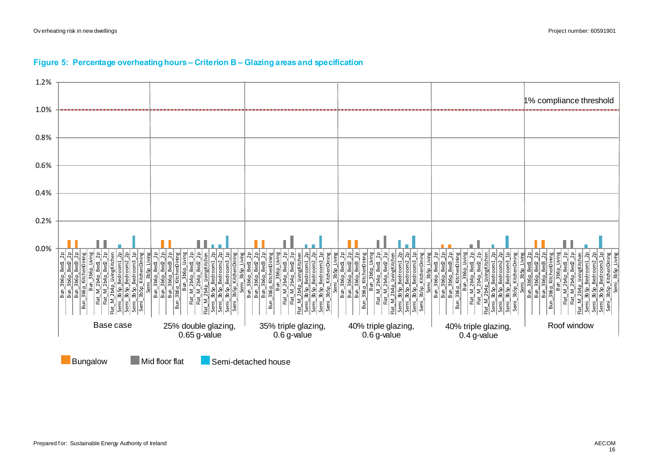

#### **Figure 5: Percentage overheating hours – Criterion B – Glazing areas and specification**



Bungalow Mid floor flat Semi-detached house

Prepared for: Sustainable Energy Authority of Ireland AECOM And the state of the state of Ireland AECOM AECOM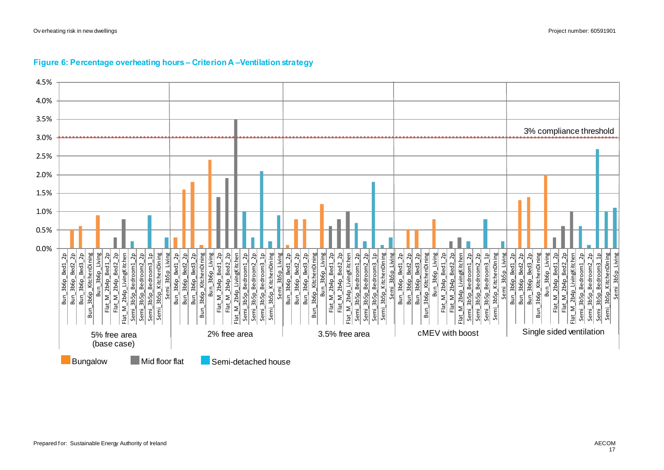

#### **Figure 6: Percentage overheating hours – Criterion A –Ventilation strategy**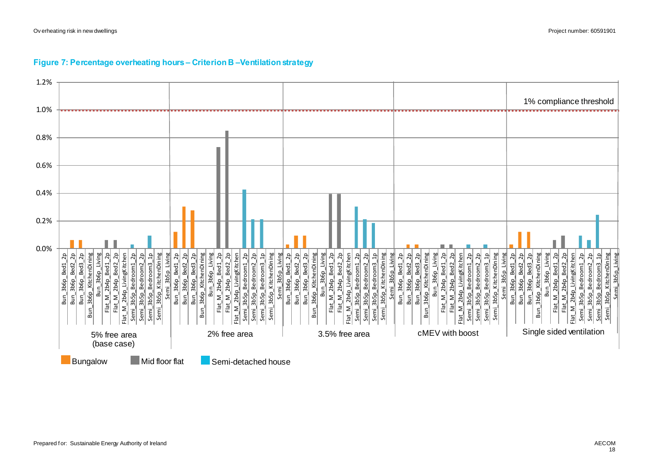#### **Figure 7: Percentage overheating hours – Criterion B –Ventilation strategy**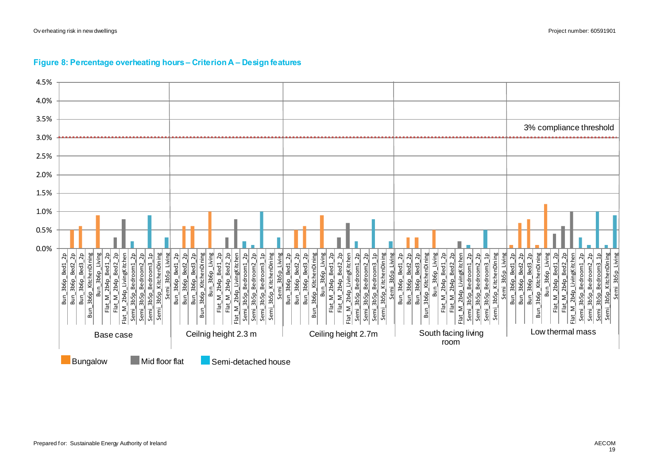

#### **Figure 8: Percentage overheating hours – Criterion A – Design features**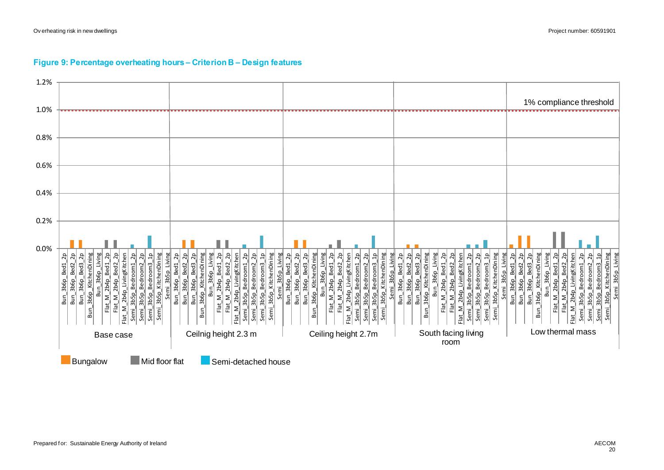#### **Figure 9: Percentage overheating hours – Criterion B – Design features**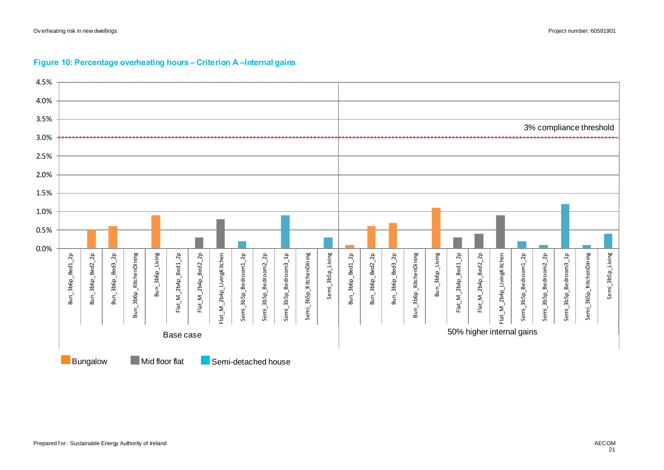

#### **Figure 10: Percentage overheating hours – Criterion A –Internal gains**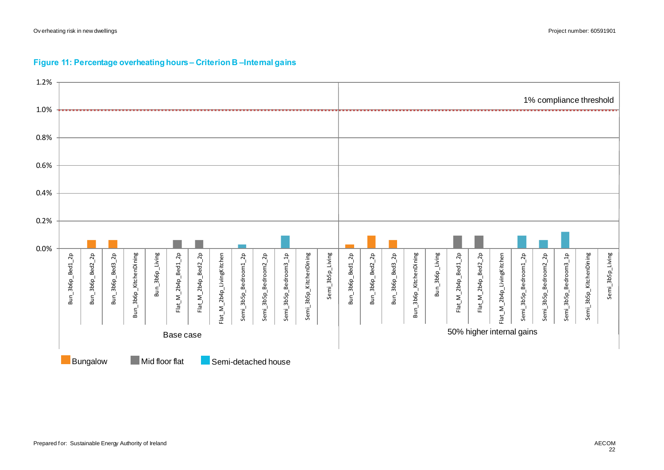

#### **Figure 11: Percentage overheating hours – Criterion B –Internal gains**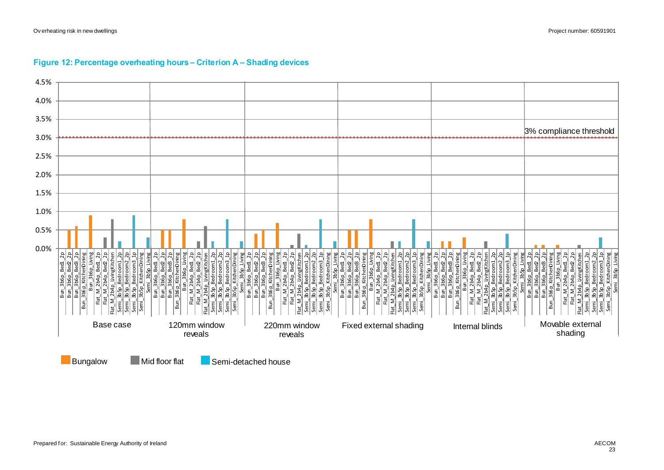

#### **Figure 12: Percentage overheating hours – Criterion A – Shading devices**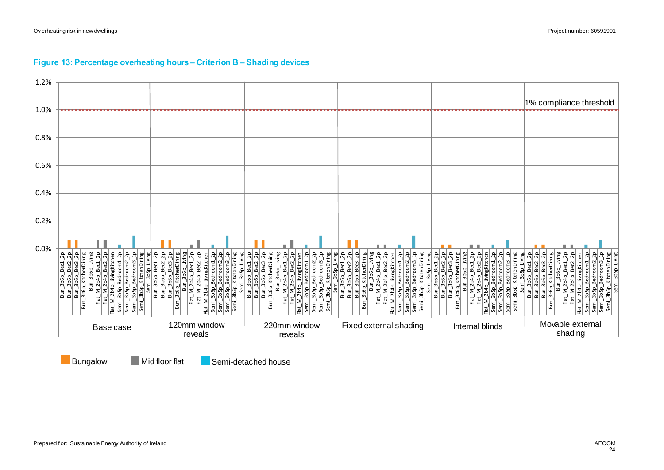

#### **Figure 13: Percentage overheating hours – Criterion B – Shading devices**

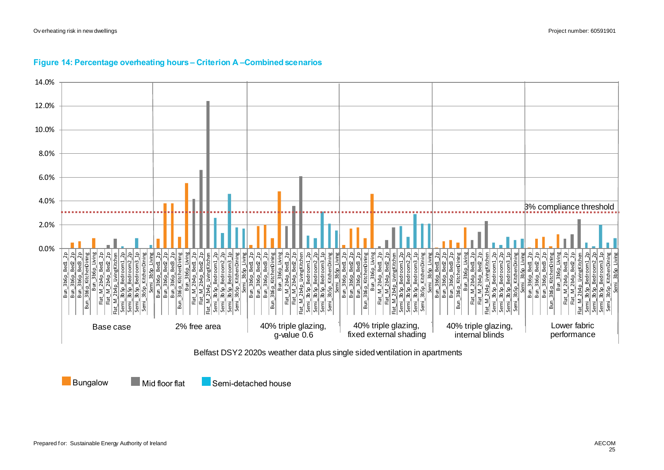

#### **Figure 14: Percentage overheating hours – Criterion A –Combined scenarios**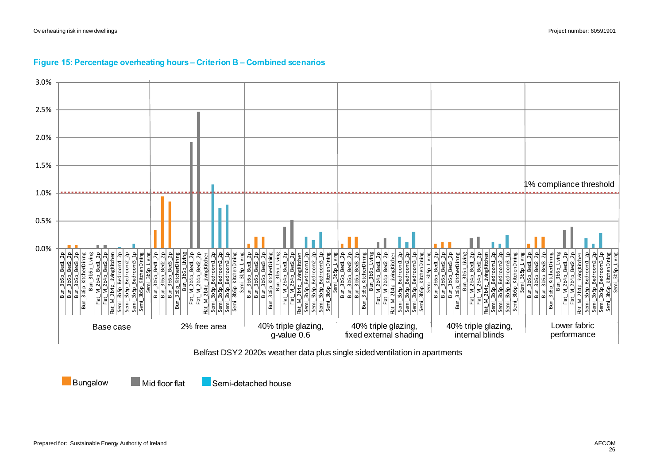

#### **Figure 15: Percentage overheating hours – Criterion B – Combined scenarios**

<span id="page-25-0"></span>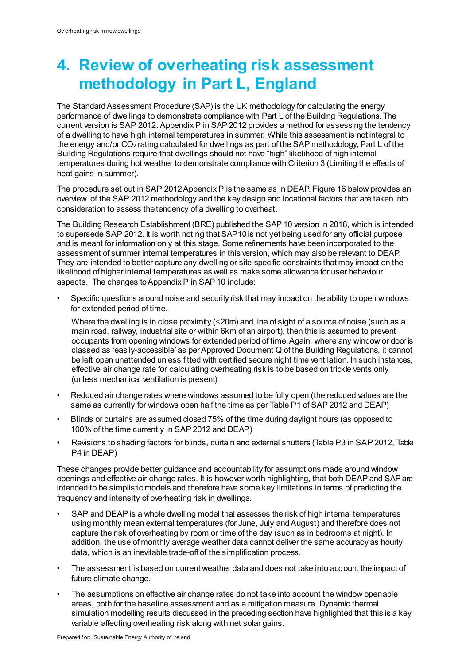## **4. Review of overheating risk assessment methodology in Part L, England**

The Standard Assessment Procedure (SAP) is the UK methodology for calculating the energy performance of dwellings to demonstrate compliance with Part L of the Building Regulations. The current version is SAP 2012. Appendix P in SAP 2012 provides a method for assessing the tendency of a dwelling to have high internal temperatures in summer. While this assessment is not integral to the energy and/or  $CO<sub>2</sub>$  rating calculated for dwellings as part of the SAP methodology, Part L of the Building Regulations require that dwellings should not have "high" likelihood of high internal temperatures during hot weather to demonstrate compliance with Criterion 3 (Limiting the effects of heat gains in summer).

The procedure set out in SAP 2012 Appendix P is the same as in DEA[P. Figure 16](#page-27-0) below provides an overview of the SAP 2012 methodology and the key design and locational factors that are taken into consideration to assess the tendency of a dwelling to overheat.

The Building Research Establishment (BRE) published the SAP 10 version in 2018, which is intended to supersede SAP 2012. It is worth noting that SAP10 is not yet being used for any official purpose and is meant for information only at this stage. Some refinements have been incorporated to the assessment of summer internal temperatures in this version, which may also be relevant to DEAP. They are intended to better capture any dwelling or site-specific constraints that may impact on the likelihood of higher internal temperatures as well as make some allowance for user behaviour aspects. The changes to Appendix P in SAP 10 include:

• Specific questions around noise and security risk that may impact on the ability to open windows for extended period of time.

Where the dwelling is in close proximity (<20m) and line of sight of a source of noise (such as a main road, railway, industrial site or within 6km of an airport), then this is assumed to prevent occupants from opening windows for extended period of time. Again, where any window or door is classed as 'easily-accessible' as per Approved Document Q of the Building Regulations, it cannot be left open unattended unless fitted with certified secure night time ventilation. In such instances, effective air change rate for calculating overheating risk is to be based on trickle vents only (unless mechanical ventilation is present)

- Reduced air change rates where windows assumed to be fully open (the reduced values are the same as currently for windows open half the time as per Table P1 of SAP 2012 and DEAP)
- Blinds or curtains are assumed closed 75% of the time during daylight hours (as opposed to 100% of the time currently in SAP 2012 and DEAP)
- Revisions to shading factors for blinds, curtain and external shutters (Table P3 in SAP 2012, Table P4 in DEAP)

These changes provide better guidance and accountability for assumptions made around window openings and effective air change rates. It is however worth highlighting, that both DEAP and SAP are intended to be simplistic models and therefore have some key limitations in terms of predicting the frequency and intensity of overheating risk in dwellings.

- SAP and DEAP is a whole dwelling model that assesses the risk of high internal temperatures using monthly mean external temperatures (for June, July and August) and therefore does not capture the risk of overheating by room or time of the day (such as in bedrooms at night). In addition, the use of monthly average weather data cannot deliver the same accuracy as hourly data, which is an inevitable trade-off of the simplification process.
- The assessment is based on current weather data and does not take into account the impact of future climate change.
- The assumptions on effective air change rates do not take into account the window openable areas, both for the baseline assessment and as a mitigation measure. Dynamic thermal simulation modelling results discussed in the preceding section have highlighted that this is a key variable affecting overheating risk along with net solar gains.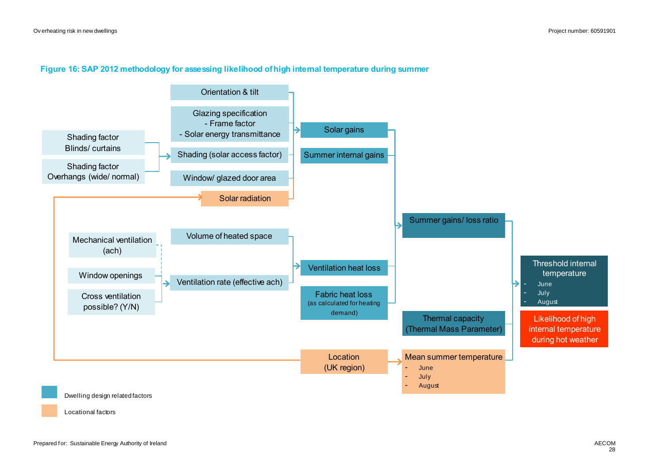#### **Figure 16: SAP 2012 methodology for assessing likelihood of high internal temperature during summer**

<span id="page-27-0"></span>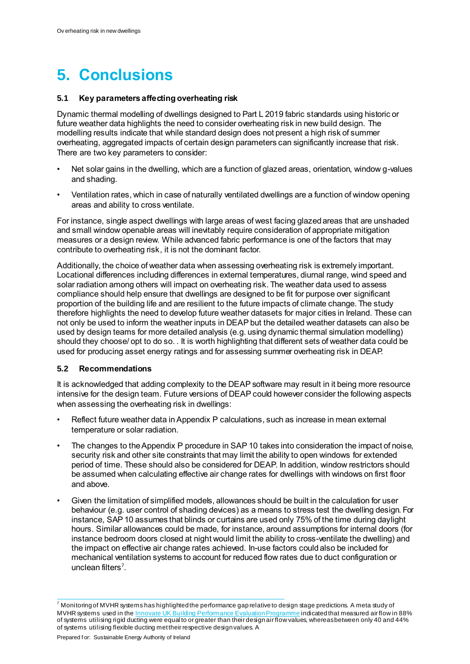# **5. Conclusions**

#### **5.1 Key parameters affecting overheating risk**

Dynamic thermal modelling of dwellings designed to Part L 2019 fabric standards using historic or future weather data highlights the need to consider overheating risk in new build design. The modelling results indicate that while standard design does not present a high risk of summer overheating, aggregated impacts of certain design parameters can significantly increase that risk. There are two key parameters to consider:

- Net solar gains in the dwelling, which are a function of glazed areas, orientation, window g-values and shading.
- Ventilation rates, which in case of naturally ventilated dwellings are a function of window opening areas and ability to cross ventilate.

For instance, single aspect dwellings with large areas of west facing glazed areas that are unshaded and small window openable areas will inevitably require consideration of appropriate mitigation measures or a design review. While advanced fabric performance is one of the factors that may contribute to overheating risk, it is not the dominant factor.

Additionally, the choice of weather data when assessing overheating risk is extremely important. Locational differences including differences in external temperatures, diurnal range, wind speed and solar radiation among others will impact on overheating risk. The weather data used to assess compliance should help ensure that dwellings are designed to be fit for purpose over significant proportion of the building life and are resilient to the future impacts of climate change. The study therefore highlights the need to develop future weather datasets for major cities in Ireland. These can not only be used to inform the weather inputs in DEAP but the detailed weather datasets can also be used by design teams for more detailed analysis (e.g. using dynamic thermal simulation modelling) should they choose/ opt to do so. . It is worth highlighting that different sets of weather data could be used for producing asset energy ratings and for assessing summer overheating risk in DEAP.

#### **5.2 Recommendations**

It is acknowledged that adding complexity to the DEAP software may result in it being more resource intensive for the design team. Future versions of DEAP could however consider the following aspects when assessing the overheating risk in dwellings:

- Reflect future weather data in Appendix P calculations, such as increase in mean external temperature or solar radiation.
- The changes to the Appendix P procedure in SAP 10 takes into consideration the impact of noise, security risk and other site constraints that may limit the ability to open windows for extended period of time. These should also be considered for DEAP. In addition, window restrictors should be assumed when calculating effective air change rates for dwellings with windows on first floor and above.
- Given the limitation of simplified models, allowances should be built in the calculation for user behaviour (e.g. user control of shading devices) as a means to stress test the dwelling design. For instance, SAP 10 assumes that blinds or curtains are used only 75% of the time during daylight hours. Similar allowances could be made, for instance, around assumptions for internal doors (for instance bedroom doors closed at night would limit the ability to cross-ventilate the dwelling) and the impact on effective air change rates achieved. In-use factors could also be included for mechanical ventilation systems to account for reduced flow rates due to duct configuration or unclean filters<sup>7</sup>.

l

 $^7$  Monitoring of MVHR systems has highlighted the performance gap relative to design stage predictions. A meta study of MVHR systems used in the **Innovate UK Building Performance Evaluation Programme** indicated that measured air flow in 88% of systems utilising rigid ducting were equal to or greater than their design air flow values, whereas between only 40 and 44% of systems utilising flexible ducting met their respective design values. A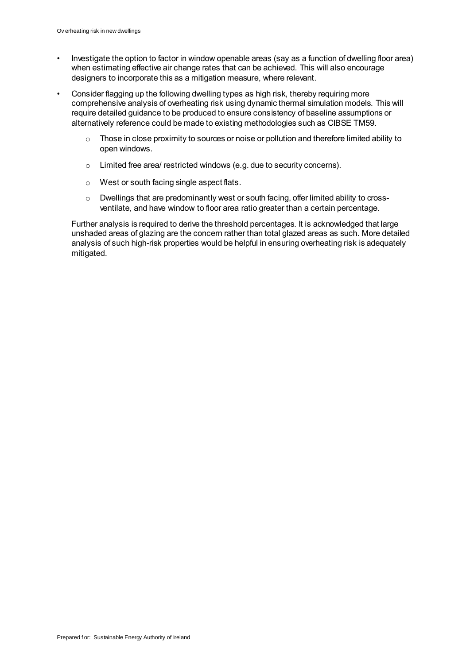- Investigate the option to factor in window openable areas (say as a function of dwelling floor area) when estimating effective air change rates that can be achieved. This will also encourage designers to incorporate this as a mitigation measure, where relevant.
- Consider flagging up the following dwelling types as high risk, thereby requiring more comprehensive analysis of overheating risk using dynamic thermal simulation models. This will require detailed guidance to be produced to ensure consistency of baseline assumptions or alternatively reference could be made to existing methodologies such as CIBSE TM59.
	- $\circ$  Those in close proximity to sources or noise or pollution and therefore limited ability to open windows.
	- o Limited free area/ restricted windows (e.g. due to security concerns).
	- o West or south facing single aspect flats.
	- o Dwellings that are predominantly west or south facing, offer limited ability to crossventilate, and have window to floor area ratio greater than a certain percentage.

Further analysis is required to derive the threshold percentages. It is acknowledged that large unshaded areas of glazing are the concern rather than total glazed areas as such. More detailed analysis of such high-risk properties would be helpful in ensuring overheating risk is adequately mitigated.